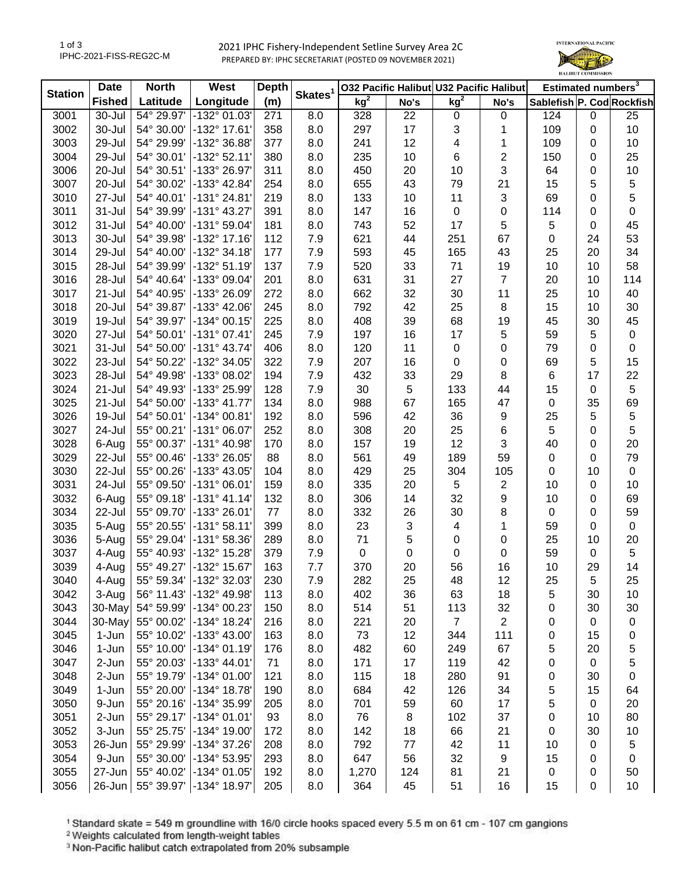2021 IPHC Fishery-Independent Setline Survey Area 2C PREPARED BY: IPHC SECRETARIAT (POSTED 09 NOVEMBER 2021)



| <b>Station</b> | <b>Date</b>   | <b>North</b> | West                    | <b>Depth</b> |                     |                 |                | 032 Pacific Halibut U32 Pacific Halibut |                | Estimated numbers <sup>3</sup> |    |             |
|----------------|---------------|--------------|-------------------------|--------------|---------------------|-----------------|----------------|-----------------------------------------|----------------|--------------------------------|----|-------------|
|                | <b>Fished</b> | Latitude     | Longitude               | (m)          | Skates <sup>1</sup> | kg <sup>2</sup> | No's           | kg <sup>2</sup>                         | No's           | Sablefish P. Cod Rockfish      |    |             |
| 3001           | 30-Jul        | 54° 29.97'   | -132° 01.03'            | 271          | 8.0                 | 328             | 22             | $\pmb{0}$                               | 0              | 124                            | 0  | 25          |
| 3002           | 30-Jul        | 54° 30.00'   | -132° 17.61'            | 358          | 8.0                 | 297             | 17             | 3                                       | 1              | 109                            | 0  | 10          |
| 3003           | 29-Jul        | 54° 29.99'   | -132° 36.88'            | 377          | 8.0                 | 241             | 12             | 4                                       | 1              | 109                            | 0  | 10          |
| 3004           | 29-Jul        | 54° 30.01'   | $-132^{\circ}52.11'$    | 380          | 8.0                 | 235             | 10             | 6                                       | $\overline{c}$ | 150                            | 0  | 25          |
| 3006           | 20-Jul        | 54° 30.51'   | -133° 26.97'            | 311          | 8.0                 | 450             | 20             | 10                                      | 3              | 64                             | 0  | 10          |
| 3007           | 20-Jul        | 54° 30.02'   | -133° 42.84'            | 254          | 8.0                 | 655             | 43             | 79                                      | 21             | 15                             | 5  | 5           |
| 3010           | 27-Jul        | 54° 40.01'   | $-131°24.81'$           | 219          | 8.0                 | 133             | 10             | 11                                      | 3              | 69                             | 0  | 5           |
| 3011           | $31 -$ Jul    | 54° 39.99'   | $-131^{\circ}$ 43.27'   | 391          | 8.0                 | 147             | 16             | $\pmb{0}$                               | 0              | 114                            | 0  | $\pmb{0}$   |
| 3012           | 31-Jul        | 54° 40.00'   | $-131°59.04'$           | 181          | 8.0                 | 743             | 52             | 17                                      | 5              | 5                              | 0  | 45          |
| 3013           | 30-Jul        | 54° 39.98'   | -132° 17.16'            | 112          | 7.9                 | 621             | 44             | 251                                     | 67             | $\pmb{0}$                      | 24 | 53          |
| 3014           | 29-Jul        | 54° 40.00'   | -132° 34.18'            | 177          | 7.9                 | 593             | 45             | 165                                     | 43             | 25                             | 20 | 34          |
| 3015           | 28-Jul        | 54° 39.99'   | -132° 51.19'            | 137          | 7.9                 | 520             | 33             | 71                                      | 19             | 10                             | 10 | 58          |
| 3016           | 28-Jul        | 54° 40.64'   | -133° 09.04'            | 201          | 8.0                 | 631             | 31             | 27                                      | $\overline{7}$ | 20                             | 10 | 114         |
| 3017           | 21-Jul        | 54° 40.95'   | -133° 26.09'            | 272          | 8.0                 | 662             | 32             | 30                                      | 11             | 25                             | 10 | 40          |
| 3018           | 20-Jul        | 54° 39.87'   | -133° 42.06'            | 245          | 8.0                 | 792             | 42             | 25                                      | 8              | 15                             | 10 | 30          |
| 3019           | 19-Jul        | 54° 39.97'   | -134° 00.15'            | 225          | 8.0                 | 408             | 39             | 68                                      | 19             | 45                             | 30 | 45          |
| 3020           | 27-Jul        | 54° 50.01'   | $-131°07.41'$           | 245          | 7.9                 | 197             | 16             | 17                                      | 5              | 59                             | 5  | $\pmb{0}$   |
| 3021           | $31 -$ Jul    | 54° 50.00'   | $-131°$ 43.74           | 406          | 8.0                 | 120             | 11             | $\pmb{0}$                               | 0              | 79                             | 0  | $\pmb{0}$   |
| 3022           | 23-Jul        | 54° 50.22'   | -132° 34.05'            | 322          | 7.9                 | 207             | 16             | 0                                       | 0              | 69                             | 5  | 15          |
| 3023           | 28-Jul        | 54° 49.98'   | -133° 08.02'            | 194          | 7.9                 | 432             | 33             | 29                                      | 8              | $\,6$                          | 17 | 22          |
| 3024           | $21 -$ Jul    | 54° 49.93'   | -133° 25.99'            | 128          | 7.9                 | 30              | 5              | 133                                     | 44             | 15                             | 0  | 5           |
| 3025           | $21 -$ Jul    | 54° 50.00'   | $-133^{\circ}$ 41.77'   | 134          | 8.0                 | 988             | 67             | 165                                     | 47             | $\pmb{0}$                      | 35 | 69          |
| 3026           | 19-Jul        | 54° 50.01'   | $-134^{\circ}$ 00.81    | 192          | 8.0                 | 596             | 42             | 36                                      | 9              | 25                             | 5  | 5           |
| 3027           | 24-Jul        | 55° 00.21'   | -131° 06.07'            | 252          | 8.0                 | 308             | 20             | 25                                      | 6              | 5                              | 0  | 5           |
| 3028           | 6-Aug         | 55° 00.37'   | -131° 40.98'            | 170          | 8.0                 | 157             | 19             | 12                                      | $\sqrt{3}$     | 40                             | 0  | 20          |
| 3029           | 22-Jul        | 55° 00.46'   | -133° 26.05'            | 88           | 8.0                 | 561             | 49             | 189                                     | 59             | $\pmb{0}$                      | 0  | 79          |
| 3030           | 22-Jul        | 55° 00.26'   | -133° 43.05'            | 104          | 8.0                 | 429             | 25             | 304                                     | 105            | $\pmb{0}$                      | 10 | $\mathbf 0$ |
| 3031           | 24-Jul        | 55° 09.50'   | $-131°06.01'$           | 159          | 8.0                 | 335             | 20             | 5                                       | $\overline{c}$ | 10                             | 0  | 10          |
| 3032           | 6-Aug         | 55° 09.18'   | $-131°$ 41.14           | 132          | 8.0                 | 306             | 14             | 32                                      | 9              | 10                             | 0  | 69          |
| 3034           | 22-Jul        | 55° 09.70'   | -133° 26.01'            | 77           | 8.0                 | 332             | 26             | 30                                      | 8              | $\pmb{0}$                      | 0  | 59          |
| 3035           | 5-Aug         | 55° 20.55'   | $-131°58.11'$           | 399          | 8.0                 | 23              | $\mathfrak{S}$ | 4                                       | 1              | 59                             | 0  | $\mathbf 0$ |
| 3036           | 5-Aug         | 55° 29.04'   | -131° 58.36'            | 289          | 8.0                 | 71              | $\sqrt{5}$     | 0                                       | 0              | 25                             | 10 | 20          |
| 3037           | 4-Aug         | 55° 40.93'   | -132° 15.28'            | 379          | 7.9                 | $\mathsf 0$     | 0              | 0                                       | 0              | 59                             | 0  | 5           |
| 3039           | 4-Aug         | 55° 49.27'   | -132° 15.67'            | 163          | 7.7                 | 370             | 20             | 56                                      | 16             | 10                             | 29 | 14          |
| 3040           | 4-Aug         |              | 55° 59.34' -132° 32.03' | 230          | 7.9                 | 282             | 25             | 48                                      | 12             | 25                             | 5  | 25          |
| 3042           | 3-Aug         | 56° 11.43'   | -132° 49.98'            | 113          | 8.0                 | 402             | 36             | 63                                      | 18             | 5                              | 30 | 10          |
| 3043           | 30-May        | 54° 59.99'   | -134° 00.23'            | 150          | 8.0                 | 514             | 51             | 113                                     | 32             | 0                              | 30 | 30          |
| 3044           | 30-May        | 55° 00.02'   | -134° 18.24'            | 216          | 8.0                 | 221             | 20             | $\overline{7}$                          | $\overline{c}$ | 0                              | 0  | 0           |
| 3045           | 1-Jun         | 55° 10.02'   | -133° 43.00'            | 163          | 8.0                 | 73              | 12             | 344                                     | 111            | 0                              | 15 | 0           |
| 3046           | 1-Jun         | 55° 10.00'   | -134° 01.19'            | 176          | 8.0                 | 482             | 60             | 249                                     | 67             | 5                              | 20 | 5           |
| 3047           | 2-Jun         | 55° 20.03'   | $-133^{\circ}$ 44.01'   | 71           | 8.0                 | 171             | 17             | 119                                     | 42             | 0                              | 0  | 5           |
| 3048           | 2-Jun         | 55° 19.79'   | -134° 01.00'            | 121          | 8.0                 | 115             | 18             | 280                                     | 91             | 0                              | 30 | 0           |
| 3049           | 1-Jun         | 55° 20.00'   | -134° 18.78'            | 190          | 8.0                 | 684             | 42             | 126                                     | 34             | 5                              | 15 | 64          |
| 3050           | 9-Jun         | 55° 20.16'   | -134° 35.99'            | 205          | 8.0                 | 701             | 59             | 60                                      | 17             | 5                              | 0  | 20          |
| 3051           | 2-Jun         | 55° 29.17'   | $-134^{\circ}$ 01.01'   | 93           | 8.0                 | 76              | 8              | 102                                     | 37             | 0                              | 10 | 80          |
| 3052           | 3-Jun         | 55° 25.75'   | -134° 19.00'            | 172          | 8.0                 | 142             | 18             | 66                                      | 21             | $\pmb{0}$                      | 30 | 10          |
| 3053           | 26-Jun        | 55° 29.99'   | -134° 37.26'            | 208          | 8.0                 | 792             | 77             | 42                                      | 11             | 10                             | 0  | 5           |
| 3054           | 9-Jun         | 55° 30.00'   | -134° 53.95'            | 293          | 8.0                 | 647             | 56             | 32                                      | 9              | 15                             | 0  | $\mathbf 0$ |
| 3055           | $27 - Jun$    | 55° 40.02'   | -134° 01.05'            | 192          | 8.0                 | 1,270           | 124            | 81                                      | 21             | 0                              | 0  | 50          |
| 3056           | 26-Jun        | 55° 39.97'   | -134° 18.97'            | 205          | 8.0                 | 364             | 45             | 51                                      | 16             | 15                             | 0  | 10          |
|                |               |              |                         |              |                     |                 |                |                                         |                |                                |    |             |

<sup>1</sup> Standard skate = 549 m groundline with 16/0 circle hooks spaced every 5.5 m on 61 cm - 107 cm gangions <sup>2</sup> Weights calculated from length-weight tables

<sup>3</sup> Non-Pacific halibut catch extrapolated from 20% subsample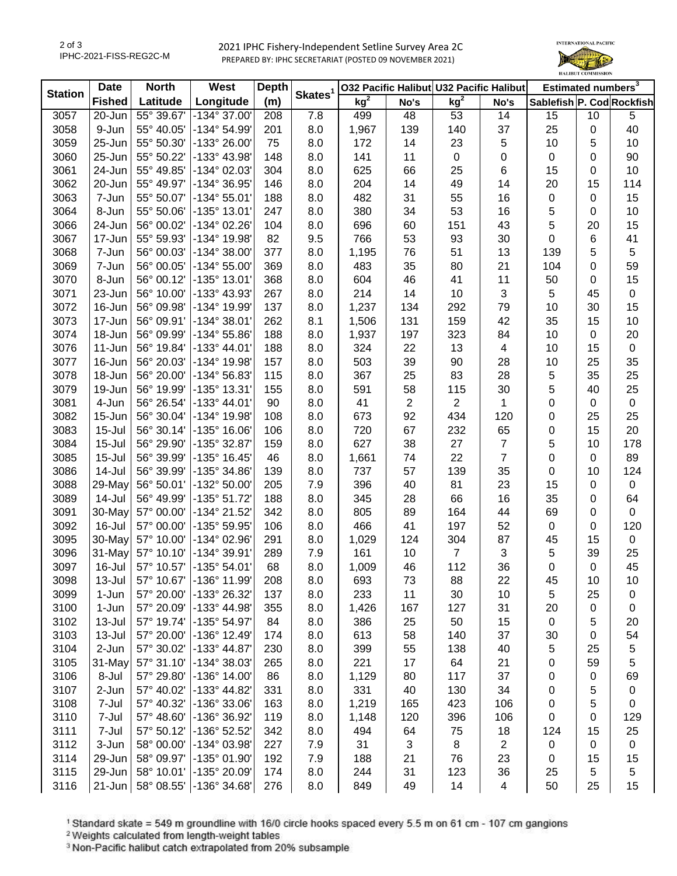2021 IPHC Fishery-Independent Setline Survey Area 2C PREPARED BY: IPHC SECRETARIAT (POSTED 09 NOVEMBER 2021)



| <b>Station</b> | <b>Date</b>   | <b>North</b> | West                  | <b>Depth</b> |                     |                 |                | 032 Pacific Halibut U32 Pacific Halibut |                          | Estimated numbers <sup>3</sup> |    |             |
|----------------|---------------|--------------|-----------------------|--------------|---------------------|-----------------|----------------|-----------------------------------------|--------------------------|--------------------------------|----|-------------|
|                | <b>Fished</b> | Latitude     | Longitude             | (m)          | Skates <sup>1</sup> | kg <sup>2</sup> | No's           | kg <sup>2</sup>                         | No's                     | Sablefish P. Cod Rockfish      |    |             |
| 3057           | 20-Jun        | 55° 39.67'   | -134° 37.00'          | 208          | 7.8                 | 499             | 48             | 53                                      | 14                       | 15                             | 10 | 5           |
| 3058           | 9-Jun         | 55° 40.05'   | -134° 54.99'          | 201          | 8.0                 | 1,967           | 139            | 140                                     | 37                       | 25                             | 0  | 40          |
| 3059           | $25 - Jun$    | 55° 50.30'   | -133° 26.00'          | 75           | 8.0                 | 172             | 14             | 23                                      | 5                        | 10                             | 5  | 10          |
| 3060           | 25-Jun        | 55° 50.22'   | -133° 43.98'          | 148          | 8.0                 | 141             | 11             | $\mathbf 0$                             | 0                        | $\mathbf 0$                    | 0  | 90          |
| 3061           | 24-Jun        | 55° 49.85'   | -134° 02.03'          | 304          | 8.0                 | 625             | 66             | 25                                      | 6                        | 15                             | 0  | 10          |
| 3062           | 20-Jun        | 55° 49.97'   | -134° 36.95'          | 146          | 8.0                 | 204             | 14             | 49                                      | 14                       | 20                             | 15 | 114         |
| 3063           | 7-Jun         | 55° 50.07'   | $-134^{\circ} 55.01'$ | 188          | 8.0                 | 482             | 31             | 55                                      | 16                       | $\pmb{0}$                      | 0  | 15          |
| 3064           | 8-Jun         | 55° 50.06'   | -135° 13.01'          | 247          | 8.0                 | 380             | 34             | 53                                      | 16                       | 5                              | 0  | 10          |
| 3066           | 24-Jun        | 56° 00.02'   | -134° 02.26'          | 104          | 8.0                 | 696             | 60             | 151                                     | 43                       | 5                              | 20 | 15          |
| 3067           | $17 - Jun$    | 55° 59.93'   | -134° 19.98'          | 82           | 9.5                 | 766             | 53             | 93                                      | 30                       | $\mathbf 0$                    | 6  | 41          |
| 3068           | 7-Jun         | 56° 00.03'   | -134° 38.00'          | 377          | 8.0                 | 1,195           | 76             | 51                                      | 13                       | 139                            | 5  | 5           |
| 3069           | 7-Jun         | 56° 00.05'   | -134° 55.00'          | 369          | 8.0                 | 483             | 35             | 80                                      | 21                       | 104                            | 0  | 59          |
| 3070           | 8-Jun         | 56° 00.12'   | -135° 13.01'          | 368          | 8.0                 | 604             | 46             | 41                                      | 11                       | 50                             | 0  | 15          |
| 3071           | 23-Jun        | 56° 10.00'   | -133° 43.93'          | 267          | 8.0                 | 214             | 14             | 10                                      | $\mathfrak{S}$           | 5                              | 45 | $\pmb{0}$   |
| 3072           | 16-Jun        | 56° 09.98'   | -134° 19.99'          | 137          | 8.0                 | 1,237           | 134            | 292                                     | 79                       | 10                             | 30 | 15          |
| 3073           | 17-Jun        | 56° 09.91'   | -134° 38.01'          | 262          | 8.1                 | 1,506           | 131            | 159                                     | 42                       | 35                             | 15 | 10          |
| 3074           | 18-Jun        | 56° 09.99'   | -134° 55.86'          | 188          | 8.0                 | 1,937           | 197            | 323                                     | 84                       | 10                             | 0  | 20          |
| 3076           | $11 - Jun$    | 56° 19.84'   | -133° 44.01'          | 188          | 8.0                 | 324             | 22             | 13                                      | 4                        | 10                             | 15 | $\pmb{0}$   |
| 3077           | 16-Jun        | 56° 20.03'   | -134° 19.98'          | 157          | 8.0                 | 503             | 39             | 90                                      | 28                       | 10                             | 25 | 35          |
| 3078           | 18-Jun        | 56° 20.00'   | -134° 56.83'          | 115          | 8.0                 | 367             | 25             | 83                                      | 28                       | 5                              | 35 | 25          |
| 3079           | 19-Jun        | 56° 19.99'   | -135° 13.31'          | 155          | 8.0                 | 591             | 58             | 115                                     | 30                       | 5                              | 40 | 25          |
| 3081           | 4-Jun         | 56° 26.54'   | -133° 44.01'          | 90           | 8.0                 | 41              | $\overline{2}$ | $\overline{2}$                          | 1                        | 0                              | 0  | $\pmb{0}$   |
| 3082           | $15$ -Jun     | 56° 30.04'   | -134° 19.98'          | 108          | 8.0                 | 673             | 92             | 434                                     | 120                      | 0                              | 25 | 25          |
| 3083           | $15 -$ Jul    | 56° 30.14'   | -135° 16.06'          | 106          | 8.0                 | 720             | 67             | 232                                     | 65                       | 0                              | 15 | 20          |
| 3084           | $15 -$ Jul    | 56° 29.90'   | -135° 32.87'          | 159          | 8.0                 | 627             | 38             | 27                                      | $\overline{7}$           | 5                              | 10 | 178         |
| 3085           | $15 -$ Jul    | 56° 39.99'   | -135° 16.45'          | 46           | 8.0                 | 1,661           | 74             | 22                                      | $\overline{7}$           | 0                              | 0  | 89          |
| 3086           | 14-Jul        | 56° 39.99'   | -135° 34.86'          | 139          | 8.0                 | 737             | 57             | 139                                     | 35                       | $\mathbf 0$                    | 10 | 124         |
| 3088           | 29-May        | 56° 50.01'   | -132° 50.00'          | 205          | 7.9                 | 396             | 40             | 81                                      | 23                       | 15                             | 0  | $\mathbf 0$ |
| 3089           | 14-Jul        | 56° 49.99'   | -135° 51.72'          | 188          | 8.0                 | 345             | 28             | 66                                      | 16                       | 35                             | 0  | 64          |
| 3091           | 30-May        | 57° 00.00'   | -134° 21.52'          | 342          | 8.0                 | 805             | 89             | 164                                     | 44                       | 69                             | 0  | $\mathbf 0$ |
| 3092           | 16-Jul        | 57° 00.00'   | -135° 59.95'          | 106          | 8.0                 | 466             | 41             | 197                                     | 52                       | $\pmb{0}$                      | 0  | 120         |
| 3095           | 30-May        | 57° 10.00'   | -134° 02.96'          | 291          | 8.0                 | 1,029           | 124            | 304                                     | 87                       | 45                             | 15 | $\mathbf 0$ |
| 3096           | 31-May        | 57° 10.10'   | -134° 39.91'          | 289          | 7.9                 | 161             | 10             | $\overline{7}$                          | $\mathfrak{S}$           | 5                              | 39 | 25          |
| 3097           | 16-Jul        | 57° 10.57'   | -135° 54.01'          | 68           | 8.0                 | 1,009           | 46             | 112                                     | 36                       | $\mathbf 0$                    | 0  | 45          |
| 3098           | 13-Jul        | 57° 10.67'   | $-136°11.99$          | 208          | 8.0                 | 693             | 73             | 88                                      | 22                       | 45                             | 10 | 10          |
| 3099           | 1-Jun         | 57° 20.00'   | -133° 26.32'          | 137          | 8.0                 | 233             | 11             | 30                                      | 10                       | 5                              | 25 | 0           |
| 3100           | 1-Jun         | 57° 20.09'   | -133° 44.98'          | 355          | 8.0                 | 1,426           | 167            | 127                                     | 31                       | 20                             | 0  | 0           |
| 3102           | 13-Jul        | 57° 19.74'   | -135° 54.97'          | 84           | 8.0                 | 386             | 25             | 50                                      | 15                       | 0                              | 5  | 20          |
| 3103           | 13-Jul        | 57° 20.00'   | -136° 12.49'          | 174          | 8.0                 | 613             | 58             | 140                                     | 37                       | 30                             | 0  | 54          |
| 3104           | 2-Jun         | 57° 30.02'   | -133° 44.87'          | 230          | 8.0                 | 399             | 55             | 138                                     | 40                       | 5                              | 25 | 5           |
| 3105           | 31-May        | 57° 31.10'   | -134° 38.03'          | 265          | 8.0                 | 221             | 17             | 64                                      | 21                       | 0                              | 59 | 5           |
| 3106           | 8-Jul         | 57° 29.80'   | -136° 14.00'          | 86           | 8.0                 | 1,129           | 80             | 117                                     | 37                       |                                | 0  | 69          |
| 3107           | 2-Jun         | 57° 40.02'   | -133° 44.82'          | 331          | 8.0                 | 331             | 40             | 130                                     | 34                       | 0<br>0                         | 5  | $\pmb{0}$   |
| 3108           | 7-Jul         | 57° 40.32'   | -136° 33.06'          | 163          | 8.0                 | 1,219           | 165            | 423                                     | 106                      |                                | 5  | $\mathbf 0$ |
|                |               |              |                       |              |                     |                 |                |                                         |                          | 0                              |    |             |
| 3110           | 7-Jul         | 57° 48.60'   | -136° 36.92'          | 119          | 8.0                 | 1,148           | 120            | 396                                     | 106                      | $\mathbf 0$                    | 0  | 129         |
| 3111           | 7-Jul         | 57° 50.12'   | -136° 52.52'          | 342          | 8.0                 | 494             | 64             | 75                                      | 18<br>$\overline{2}$     | 124                            | 15 | 25          |
| 3112           | 3-Jun         | 58° 00.00'   | -134° 03.98'          | 227          | 7.9                 | 31              | 3              | 8                                       |                          | $\pmb{0}$                      | 0  | $\pmb{0}$   |
| 3114           | 29-Jun        | 58° 09.97'   | -135° 01.90'          | 192          | 7.9                 | 188             | 21             | 76                                      | 23                       | $\mathbf 0$                    | 15 | 15          |
| 3115           | 29-Jun        | 58° 10.01'   | -135° 20.09'          | 174          | 8.0                 | 244             | 31             | 123                                     | 36                       | 25                             | 5  | 5           |
| 3116           | $21$ -Jun     | 58° 08.55'   | -136° 34.68'          | 276          | 8.0                 | 849             | 49             | 14                                      | $\overline{\mathcal{A}}$ | 50                             | 25 | 15          |

<sup>1</sup> Standard skate = 549 m groundline with 16/0 circle hooks spaced every 5.5 m on 61 cm - 107 cm gangions <sup>2</sup> Weights calculated from length-weight tables

<sup>3</sup> Non-Pacific halibut catch extrapolated from 20% subsample